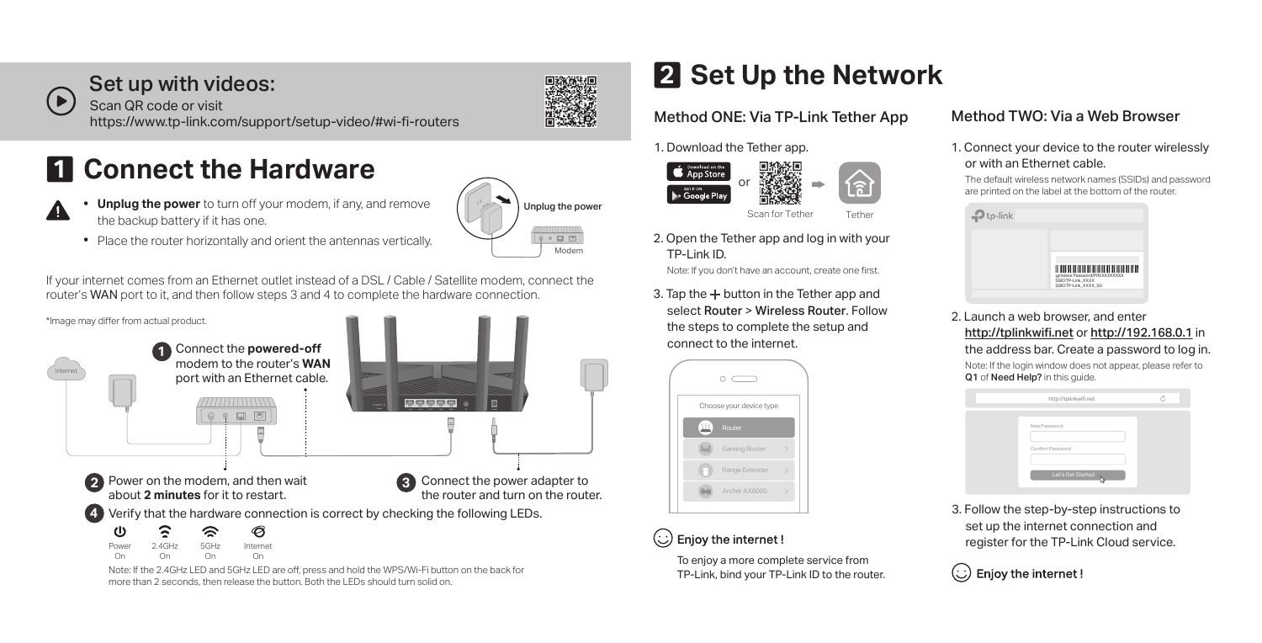

45

## Set up with videos:

Scan QR code or visit https://www.tp-link.com/support/setup-video/#wi-fi-routers

# **1** Connect the Hardware

- **Unplug the power** to turn off your modem, if any, and remove the backup battery if it has one.
- Place the router horizontally and orient the antennas vertically.

If your internet comes from an Ethernet outlet instead of a DSL / Cable / Satellite modem, connect the router's WAN port to it, and then follow steps 3 and 4 to complete the hardware connection.



more than 2 seconds, then release the button. Both the LEDs should turn solid on.

# <mark>2</mark> Set Up the Network

## Method ONE: Via TP-Link Tether App

1. Download the Tether app.



2. Open the Tether app and log in with your TP-Link ID.

Note: If you don't have an account, create one first.

3. Tap the  $+$  button in the Tether app and select Router > Wireless Router. Follow the steps to complete the setup and connect to the internet.



## $\left(\!\!\left\langle \cdot\right\rangle\!\!\right)$  Enjoy the internet !

To enjoy a more complete service from TP-Link, bind your TP-Link ID to the router.

## Method TWO: Via a Web Browser

1. Connect your device to the router wirelessly or with an Ethernet cable.

The default wireless network names (SSIDs) and password are printed on the label at the bottom of the router



2. Launch a web browser, and enter http://tplinkwifi.net or http://192.168.0.1 in the address bar. Create a password to log in.

Note: If the login window does not appear, please refer to Q1 of Need Help? in this guide.



3. Follow the step-by-step instructions to set up the internet connection and register for the TP-Link Cloud service.

(:) Enjoy the internet!